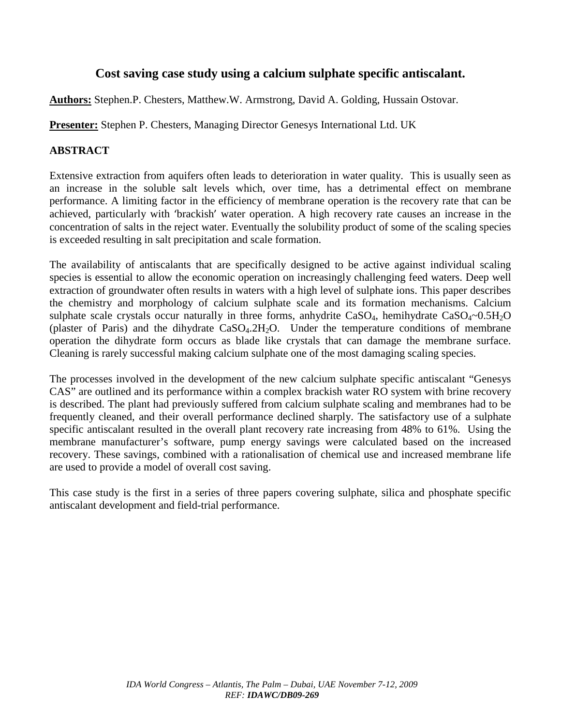# **Cost saving case study using a calcium sulphate specific antiscalant.**

**Authors:** Stephen.P. Chesters, Matthew.W. Armstrong, David A. Golding, Hussain Ostovar.

**Presenter:** Stephen P. Chesters, Managing Director Genesys International Ltd. UK

## **ABSTRACT**

Extensive extraction from aquifers often leads to deterioration in water quality. This is usually seen as an increase in the soluble salt levels which, over time, has a detrimental effect on membrane performance. A limiting factor in the efficiency of membrane operation is the recovery rate that can be achieved, particularly with 'brackish' water operation. A high recovery rate causes an increase in the concentration of salts in the reject water. Eventually the solubility product of some of the scaling species is exceeded resulting in salt precipitation and scale formation.

The availability of antiscalants that are specifically designed to be active against individual scaling species is essential to allow the economic operation on increasingly challenging feed waters. Deep well extraction of groundwater often results in waters with a high level of sulphate ions. This paper describes the chemistry and morphology of calcium sulphate scale and its formation mechanisms. Calcium sulphate scale crystals occur naturally in three forms, anhydrite  $CaSO_4$ , hemihydrate  $CaSO_4 \sim 0.5H_2O$ (plaster of Paris) and the dihydrate  $CaSO<sub>4</sub>.2H<sub>2</sub>O$ . Under the temperature conditions of membrane operation the dihydrate form occurs as blade like crystals that can damage the membrane surface. Cleaning is rarely successful making calcium sulphate one of the most damaging scaling species.

The processes involved in the development of the new calcium sulphate specific antiscalant "Genesys CAS" are outlined and its performance within a complex brackish water RO system with brine recovery is described. The plant had previously suffered from calcium sulphate scaling and membranes had to be frequently cleaned, and their overall performance declined sharply. The satisfactory use of a sulphate specific antiscalant resulted in the overall plant recovery rate increasing from 48% to 61%. Using the membrane manufacturer's software, pump energy savings were calculated based on the increased recovery. These savings, combined with a rationalisation of chemical use and increased membrane life are used to provide a model of overall cost saving.

This case study is the first in a series of three papers covering sulphate, silica and phosphate specific antiscalant development and field-trial performance.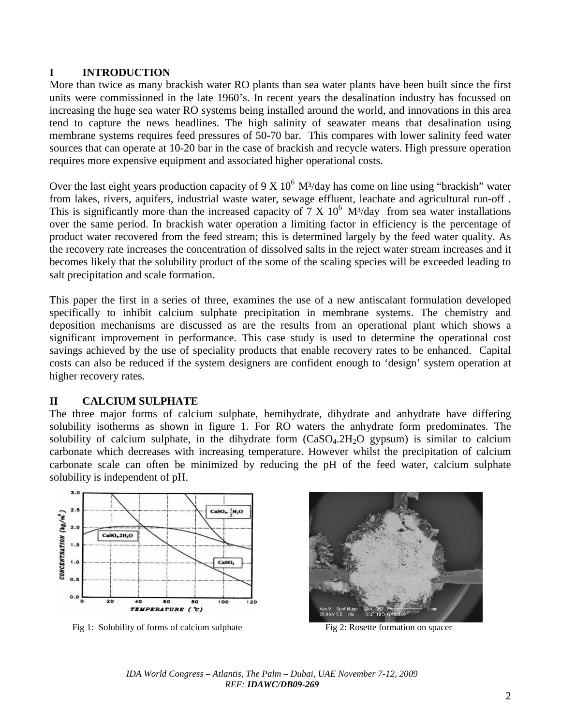#### **I INTRODUCTION**

More than twice as many brackish water RO plants than sea water plants have been built since the first units were commissioned in the late 1960's. In recent years the desalination industry has focussed on increasing the huge sea water RO systems being installed around the world, and innovations in this area tend to capture the news headlines. The high salinity of seawater means that desalination using membrane systems requires feed pressures of 50-70 bar. This compares with lower salinity feed water sources that can operate at 10-20 bar in the case of brackish and recycle waters. High pressure operation requires more expensive equipment and associated higher operational costs.

Over the last eight years production capacity of 9 X  $10^6$  M<sup>3</sup>/day has come on line using "brackish" water from lakes, rivers, aquifers, industrial waste water, sewage effluent, leachate and agricultural run-off . This is significantly more than the increased capacity of 7 X  $10^6$  M<sup>3</sup>/day from sea water installations over the same period. In brackish water operation a limiting factor in efficiency is the percentage of product water recovered from the feed stream; this is determined largely by the feed water quality. As the recovery rate increases the concentration of dissolved salts in the reject water stream increases and it becomes likely that the solubility product of the some of the scaling species will be exceeded leading to salt precipitation and scale formation.

This paper the first in a series of three, examines the use of a new antiscalant formulation developed specifically to inhibit calcium sulphate precipitation in membrane systems. The chemistry and deposition mechanisms are discussed as are the results from an operational plant which shows a significant improvement in performance. This case study is used to determine the operational cost savings achieved by the use of speciality products that enable recovery rates to be enhanced. Capital costs can also be reduced if the system designers are confident enough to 'design' system operation at higher recovery rates.

## **II CALCIUM SULPHATE**

The three major forms of calcium sulphate, hemihydrate, dihydrate and anhydrate have differing solubility isotherms as shown in figure 1. For RO waters the anhydrate form predominates. The solubility of calcium sulphate, in the dihydrate form  $(CaSO<sub>4</sub>.2H<sub>2</sub>O$  gypsum) is similar to calcium carbonate which decreases with increasing temperature. However whilst the precipitation of calcium carbonate scale can often be minimized by reducing the pH of the feed water, calcium sulphate solubility is independent of pH.



Fig 1: Solubility of forms of calcium sulphate Fig 2: Rosette formation on spacer

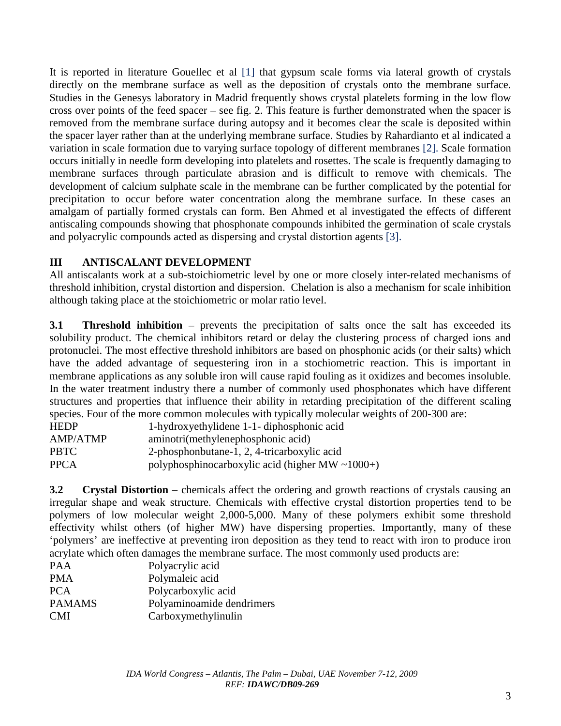It is reported in literature Gouellec et al [1] that gypsum scale forms via lateral growth of crystals directly on the membrane surface as well as the deposition of crystals onto the membrane surface. Studies in the Genesys laboratory in Madrid frequently shows crystal platelets forming in the low flow cross over points of the feed spacer – see fig. 2. This feature is further demonstrated when the spacer is removed from the membrane surface during autopsy and it becomes clear the scale is deposited within the spacer layer rather than at the underlying membrane surface. Studies by Rahardianto et al indicated a variation in scale formation due to varying surface topology of different membranes [2]. Scale formation occurs initially in needle form developing into platelets and rosettes. The scale is frequently damaging to membrane surfaces through particulate abrasion and is difficult to remove with chemicals. The development of calcium sulphate scale in the membrane can be further complicated by the potential for precipitation to occur before water concentration along the membrane surface. In these cases an amalgam of partially formed crystals can form. Ben Ahmed et al investigated the effects of different antiscaling compounds showing that phosphonate compounds inhibited the germination of scale crystals and polyacrylic compounds acted as dispersing and crystal distortion agents [3].

## **III ANTISCALANT DEVELOPMENT**

All antiscalants work at a sub-stoichiometric level by one or more closely inter-related mechanisms of threshold inhibition, crystal distortion and dispersion. Chelation is also a mechanism for scale inhibition although taking place at the stoichiometric or molar ratio level.

**3.1 Threshold inhibition** – prevents the precipitation of salts once the salt has exceeded its solubility product. The chemical inhibitors retard or delay the clustering process of charged ions and protonuclei. The most effective threshold inhibitors are based on phosphonic acids (or their salts) which have the added advantage of sequestering iron in a stochiometric reaction. This is important in membrane applications as any soluble iron will cause rapid fouling as it oxidizes and becomes insoluble. In the water treatment industry there a number of commonly used phosphonates which have different structures and properties that influence their ability in retarding precipitation of the different scaling species. Four of the more common molecules with typically molecular weights of 200-300 are:

| <b>HEDP</b> | 1-hydroxyethylidene 1-1-diphosphonic acid             |
|-------------|-------------------------------------------------------|
| AMP/ATMP    | aminotri(methylenephosphonic acid)                    |
| <b>PBTC</b> | 2-phosphonbutane-1, 2, 4-tricarboxylic acid           |
| <b>PPCA</b> | polyphosphinocarboxylic acid (higher MW $\sim$ 1000+) |

**3.2 Crystal Distortion** – chemicals affect the ordering and growth reactions of crystals causing an irregular shape and weak structure. Chemicals with effective crystal distortion properties tend to be polymers of low molecular weight 2,000-5,000. Many of these polymers exhibit some threshold effectivity whilst others (of higher MW) have dispersing properties. Importantly, many of these 'polymers' are ineffective at preventing iron deposition as they tend to react with iron to produce iron acrylate which often damages the membrane surface. The most commonly used products are:

| PAA           | Polyacrylic acid          |
|---------------|---------------------------|
| PMA           | Polymaleic acid           |
| <b>PCA</b>    | Polycarboxylic acid       |
| <b>PAMAMS</b> | Polyaminoamide dendrimers |
| <b>CMI</b>    | Carboxymethylinulin       |
|               |                           |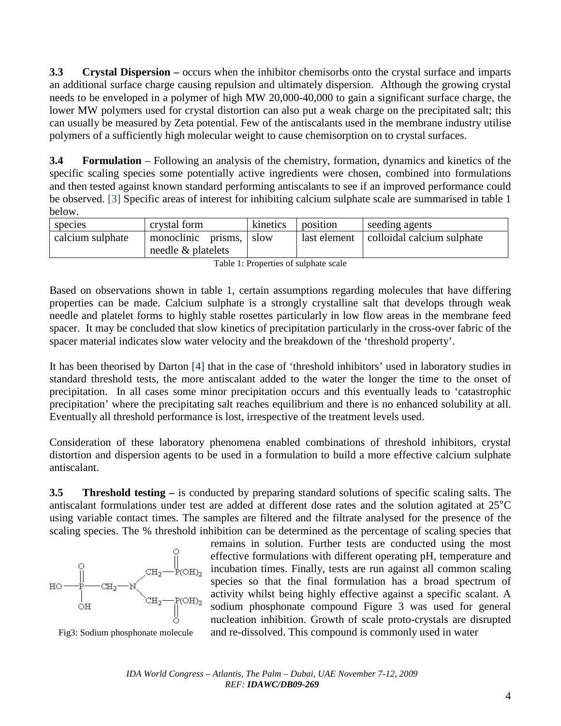**3.3 Crystal Dispersion –** occurs when the inhibitor chemisorbs onto the crystal surface and imparts an additional surface charge causing repulsion and ultimately dispersion. Although the growing crystal needs to be enveloped in a polymer of high MW 20,000-40,000 to gain a significant surface charge, the lower MW polymers used for crystal distortion can also put a weak charge on the precipitated salt; this can usually be measured by Zeta potential. Few of the antiscalants used in the membrane industry utilise polymers of a sufficiently high molecular weight to cause chemisorption on to crystal surfaces.

**3.4 Formulation** – Following an analysis of the chemistry, formation, dynamics and kinetics of the specific scaling species some potentially active ingredients were chosen, combined into formulations and then tested against known standard performing antiscalants to see if an improved performance could be observed. [3] Specific areas of interest for inhibiting calcium sulphate scale are summarised in table 1 below.

| species          | crystal form          | kinetics | position     | seeding agents             |
|------------------|-----------------------|----------|--------------|----------------------------|
| calcium sulphate | monoclinic prisms,    | -slow    | last element | colloidal calcium sulphate |
|                  | needle $\&$ platelets |          |              |                            |

|  | Table 1: Properties of sulphate scale |  |
|--|---------------------------------------|--|
|  |                                       |  |

Based on observations shown in table 1, certain assumptions regarding molecules that have differing properties can be made. Calcium sulphate is a strongly crystalline salt that develops through weak needle and platelet forms to highly stable rosettes particularly in low flow areas in the membrane feed spacer. It may be concluded that slow kinetics of precipitation particularly in the cross-over fabric of the spacer material indicates slow water velocity and the breakdown of the 'threshold property'.

It has been theorised by Darton [4] that in the case of 'threshold inhibitors' used in laboratory studies in standard threshold tests, the more antiscalant added to the water the longer the time to the onset of precipitation. In all cases some minor precipitation occurs and this eventually leads to 'catastrophic precipitation' where the precipitating salt reaches equilibrium and there is no enhanced solubility at all. Eventually all threshold performance is lost, irrespective of the treatment levels used.

Consideration of these laboratory phenomena enabled combinations of threshold inhibitors, crystal distortion and dispersion agents to be used in a formulation to build a more effective calcium sulphate antiscalant.

**3.5 Threshold testing –** is conducted by preparing standard solutions of specific scaling salts. The antiscalant formulations under test are added at different dose rates and the solution agitated at 25°C using variable contact times. The samples are filtered and the filtrate analysed for the presence of the scaling species. The % threshold inhibition can be determined as the percentage of scaling species that



remains in solution. Further tests are conducted using the most effective formulations with different operating pH, temperature and incubation times. Finally, tests are run against all common scaling species so that the final formulation has a broad spectrum of activity whilst being highly effective against a specific scalant. A sodium phosphonate compound Figure 3 was used for general nucleation inhibition. Growth of scale proto-crystals are disrupted Fig3: Sodium phosphonate molecule and re-dissolved. This compound is commonly used in water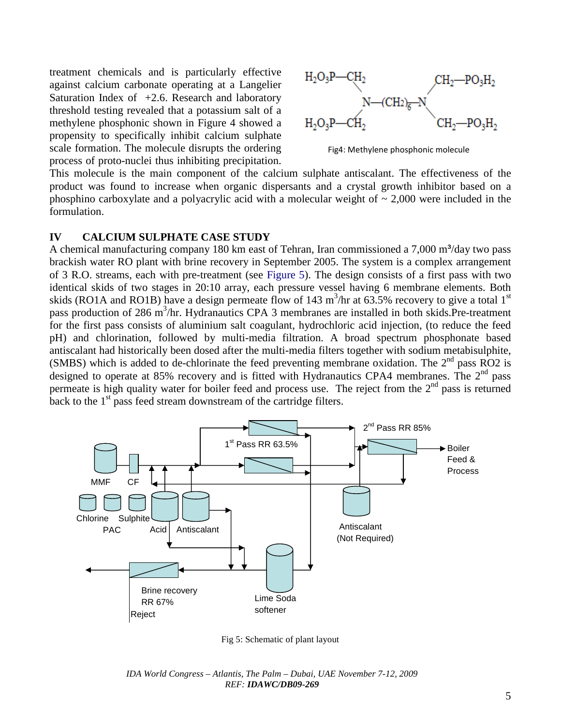treatment chemicals and is particularly effective against calcium carbonate operating at a Langelier Saturation Index of  $+2.6$ . Research and laboratory threshold testing revealed that a potassium salt of a methylene phosphonic shown in Figure 4 showed a propensity to specifically inhibit calcium sulphate scale formation. The molecule disrupts the ordering process of proto-nuclei thus inhibiting precipitation.



Fig4: Methylene phosphonic molecule

This molecule is the main component of the calcium sulphate antiscalant. The effectiveness of the product was found to increase when organic dispersants and a crystal growth inhibitor based on a phosphino carboxylate and a polyacrylic acid with a molecular weight of  $\sim 2,000$  were included in the formulation.

#### **IV CALCIUM SULPHATE CASE STUDY**

A chemical manufacturing company 180 km east of Tehran, Iran commissioned a  $7,000 \text{ m}^3/\text{day}$  two pass brackish water RO plant with brine recovery in September 2005. The system is a complex arrangement of 3 R.O. streams, each with pre-treatment (see Figure 5). The design consists of a first pass with two identical skids of two stages in 20:10 array, each pressure vessel having 6 membrane elements. Both skids (RO1A and RO1B) have a design permeate flow of 143 m<sup>3</sup>/hr at 63.5% recovery to give a total 1<sup>st</sup> pass production of 286 m<sup>3</sup>/hr. Hydranautics CPA 3 membranes are installed in both skids.Pre-treatment for the first pass consists of aluminium salt coagulant, hydrochloric acid injection, (to reduce the feed pH) and chlorination, followed by multi-media filtration. A broad spectrum phosphonate based antiscalant had historically been dosed after the multi-media filters together with sodium metabisulphite, (SMBS) which is added to de-chlorinate the feed preventing membrane oxidation. The  $2<sup>nd</sup>$  pass RO2 is designed to operate at 85% recovery and is fitted with Hydranautics CPA4 membranes. The  $2<sup>nd</sup>$  pass permeate is high quality water for boiler feed and process use. The reject from the  $2<sup>nd</sup>$  pass is returned back to the  $1<sup>st</sup>$  pass feed stream downstream of the cartridge filters.



Fig 5: Schematic of plant layout

*IDA World Congress – Atlantis, The Palm – Dubai, UAE November 7-12, 2009 REF: IDAWC/DB09-269*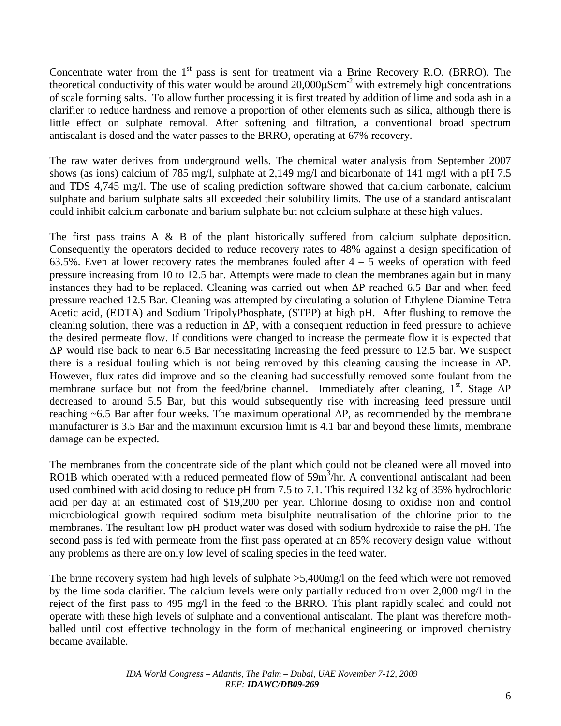Concentrate water from the 1<sup>st</sup> pass is sent for treatment via a Brine Recovery R.O. (BRRO). The theoretical conductivity of this water would be around  $20,000\mu\text{Scm}^{-2}$  with extremely high concentrations of scale forming salts. To allow further processing it is first treated by addition of lime and soda ash in a clarifier to reduce hardness and remove a proportion of other elements such as silica, although there is little effect on sulphate removal. After softening and filtration, a conventional broad spectrum antiscalant is dosed and the water passes to the BRRO, operating at 67% recovery.

The raw water derives from underground wells. The chemical water analysis from September 2007 shows (as ions) calcium of 785 mg/l, sulphate at 2,149 mg/l and bicarbonate of 141 mg/l with a pH 7.5 and TDS 4,745 mg/l. The use of scaling prediction software showed that calcium carbonate, calcium sulphate and barium sulphate salts all exceeded their solubility limits. The use of a standard antiscalant could inhibit calcium carbonate and barium sulphate but not calcium sulphate at these high values.

The first pass trains A & B of the plant historically suffered from calcium sulphate deposition. Consequently the operators decided to reduce recovery rates to 48% against a design specification of 63.5%. Even at lower recovery rates the membranes fouled after  $4 - 5$  weeks of operation with feed pressure increasing from 10 to 12.5 bar. Attempts were made to clean the membranes again but in many instances they had to be replaced. Cleaning was carried out when ∆P reached 6.5 Bar and when feed pressure reached 12.5 Bar. Cleaning was attempted by circulating a solution of Ethylene Diamine Tetra Acetic acid, (EDTA) and Sodium TripolyPhosphate, (STPP) at high pH. After flushing to remove the cleaning solution, there was a reduction in ∆P, with a consequent reduction in feed pressure to achieve the desired permeate flow. If conditions were changed to increase the permeate flow it is expected that ∆P would rise back to near 6.5 Bar necessitating increasing the feed pressure to 12.5 bar. We suspect there is a residual fouling which is not being removed by this cleaning causing the increase in ∆P. However, flux rates did improve and so the cleaning had successfully removed some foulant from the membrane surface but not from the feed/brine channel. Immediately after cleaning, 1<sup>st</sup>. Stage  $\Delta P$ decreased to around 5.5 Bar, but this would subsequently rise with increasing feed pressure until reaching ~6.5 Bar after four weeks. The maximum operational ∆P, as recommended by the membrane manufacturer is 3.5 Bar and the maximum excursion limit is 4.1 bar and beyond these limits, membrane damage can be expected.

The membranes from the concentrate side of the plant which could not be cleaned were all moved into RO1B which operated with a reduced permeated flow of 59m<sup>3</sup>/hr. A conventional antiscalant had been used combined with acid dosing to reduce pH from 7.5 to 7.1. This required 132 kg of 35% hydrochloric acid per day at an estimated cost of \$19,200 per year. Chlorine dosing to oxidise iron and control microbiological growth required sodium meta bisulphite neutralisation of the chlorine prior to the membranes. The resultant low pH product water was dosed with sodium hydroxide to raise the pH. The second pass is fed with permeate from the first pass operated at an 85% recovery design value without any problems as there are only low level of scaling species in the feed water.

The brine recovery system had high levels of sulphate >5,400mg/l on the feed which were not removed by the lime soda clarifier. The calcium levels were only partially reduced from over 2,000 mg/l in the reject of the first pass to 495 mg/l in the feed to the BRRO. This plant rapidly scaled and could not operate with these high levels of sulphate and a conventional antiscalant. The plant was therefore mothballed until cost effective technology in the form of mechanical engineering or improved chemistry became available.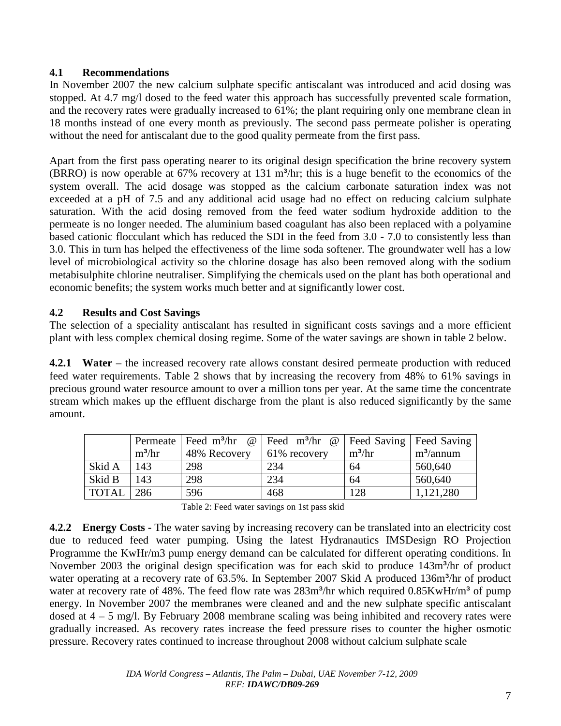## **4.1 Recommendations**

In November 2007 the new calcium sulphate specific antiscalant was introduced and acid dosing was stopped. At 4.7 mg/l dosed to the feed water this approach has successfully prevented scale formation, and the recovery rates were gradually increased to 61%; the plant requiring only one membrane clean in 18 months instead of one every month as previously. The second pass permeate polisher is operating without the need for antiscalant due to the good quality permeate from the first pass.

Apart from the first pass operating nearer to its original design specification the brine recovery system (BRRO) is now operable at  $67\%$  recovery at 131 m<sup>3</sup>/hr; this is a huge benefit to the economics of the system overall. The acid dosage was stopped as the calcium carbonate saturation index was not exceeded at a pH of 7.5 and any additional acid usage had no effect on reducing calcium sulphate saturation. With the acid dosing removed from the feed water sodium hydroxide addition to the permeate is no longer needed. The aluminium based coagulant has also been replaced with a polyamine based cationic flocculant which has reduced the SDI in the feed from 3.0 - 7.0 to consistently less than 3.0. This in turn has helped the effectiveness of the lime soda softener. The groundwater well has a low level of microbiological activity so the chlorine dosage has also been removed along with the sodium metabisulphite chlorine neutraliser. Simplifying the chemicals used on the plant has both operational and economic benefits; the system works much better and at significantly lower cost.

## **4.2 Results and Cost Savings**

The selection of a speciality antiscalant has resulted in significant costs savings and a more efficient plant with less complex chemical dosing regime. Some of the water savings are shown in table 2 below.

**4.2.1 Water** – the increased recovery rate allows constant desired permeate production with reduced feed water requirements. Table 2 shows that by increasing the recovery from 48% to 61% savings in precious ground water resource amount to over a million tons per year. At the same time the concentrate stream which makes up the effluent discharge from the plant is also reduced significantly by the same amount.

|        |          | Permeate   Feed $m^3$ /hr @ | Feed m <sup>3</sup> /hr @ Feed Saving Feed Saving |          |              |
|--------|----------|-----------------------------|---------------------------------------------------|----------|--------------|
|        | $m^3/hr$ | 48% Recovery                | 61% recovery                                      | $m^3/hr$ | $m^3$ /annum |
| Skid A | 143      | 298                         | 234                                               | 64       | 560,640      |
| Skid B | 143      | 298                         | 234                                               | 64       | 560,640      |
| TOTAL  | 286      | 596                         | 468                                               | 128      | 1,121,280    |

Table 2: Feed water savings on 1st pass skid

**4.2.2 Energy Costs -** The water saving by increasing recovery can be translated into an electricity cost due to reduced feed water pumping. Using the latest Hydranautics IMSDesign RO Projection Programme the KwHr/m3 pump energy demand can be calculated for different operating conditions. In November 2003 the original design specification was for each skid to produce 143m<sup>3</sup>/hr of product water operating at a recovery rate of 63.5%. In September 2007 Skid A produced 136m<sup>3</sup>/hr of product water at recovery rate of 48%. The feed flow rate was  $283m<sup>3</sup>/hr$  which required  $0.85KwHr/m<sup>3</sup>$  of pump energy. In November 2007 the membranes were cleaned and and the new sulphate specific antiscalant dosed at  $4 - 5$  mg/l. By February 2008 membrane scaling was being inhibited and recovery rates were gradually increased. As recovery rates increase the feed pressure rises to counter the higher osmotic pressure. Recovery rates continued to increase throughout 2008 without calcium sulphate scale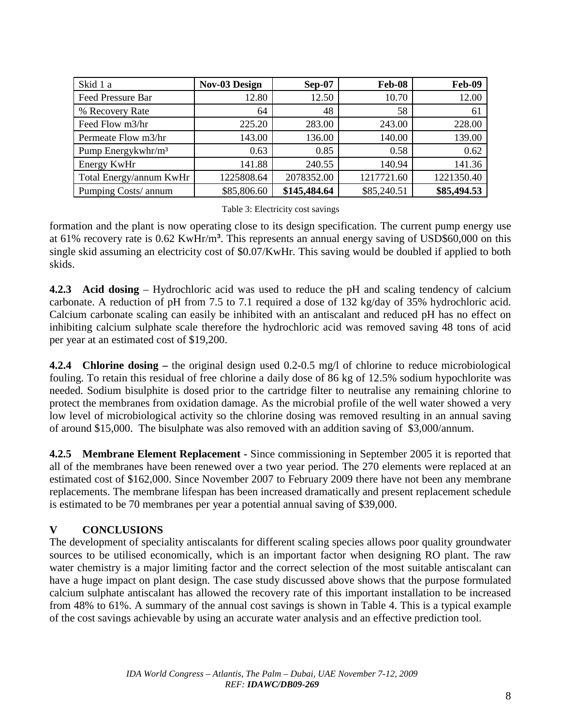| Skid 1 a                       | <b>Nov-03 Design</b> | $Sep-07$     | Feb-08      | Feb-09      |
|--------------------------------|----------------------|--------------|-------------|-------------|
| Feed Pressure Bar              | 12.80                | 12.50        | 10.70       | 12.00       |
| % Recovery Rate                | 64                   | 48           | 58          | 61          |
| Feed Flow m3/hr                | 225.20               | 283.00       | 243.00      | 228.00      |
| Permeate Flow m3/hr            | 143.00               | 136.00       | 140.00      | 139.00      |
| Pump Energykwhr/m <sup>3</sup> | 0.63                 | 0.85         | 0.58        | 0.62        |
| Energy KwHr                    | 141.88               | 240.55       | 140.94      | 141.36      |
| Total Energy/annum KwHr        | 1225808.64           | 2078352.00   | 1217721.60  | 1221350.40  |
| Pumping Costs/ annum           | \$85,806.60          | \$145,484.64 | \$85,240.51 | \$85,494.53 |

#### Table 3: Electricity cost savings

formation and the plant is now operating close to its design specification. The current pump energy use at 61% recovery rate is 0.62 KwHr/m<sup>3</sup>. This represents an annual energy saving of USD\$60,000 on this single skid assuming an electricity cost of \$0.07/KwHr. This saving would be doubled if applied to both skids.

**4.2.3 Acid dosing** – Hydrochloric acid was used to reduce the pH and scaling tendency of calcium carbonate. A reduction of pH from 7.5 to 7.1 required a dose of 132 kg/day of 35% hydrochloric acid. Calcium carbonate scaling can easily be inhibited with an antiscalant and reduced pH has no effect on inhibiting calcium sulphate scale therefore the hydrochloric acid was removed saving 48 tons of acid per year at an estimated cost of \$19,200.

**4.2.4 Chlorine dosing –** the original design used 0.2-0.5 mg/l of chlorine to reduce microbiological fouling. To retain this residual of free chlorine a daily dose of 86 kg of 12.5% sodium hypochlorite was needed. Sodium bisulphite is dosed prior to the cartridge filter to neutralise any remaining chlorine to protect the membranes from oxidation damage. As the microbial profile of the well water showed a very low level of microbiological activity so the chlorine dosing was removed resulting in an annual saving of around \$15,000. The bisulphate was also removed with an addition saving of \$3,000/annum.

**4.2.5 Membrane Element Replacement -** Since commissioning in September 2005 it is reported that all of the membranes have been renewed over a two year period. The 270 elements were replaced at an estimated cost of \$162,000. Since November 2007 to February 2009 there have not been any membrane replacements. The membrane lifespan has been increased dramatically and present replacement schedule is estimated to be 70 membranes per year a potential annual saving of \$39,000.

## **V CONCLUSIONS**

The development of speciality antiscalants for different scaling species allows poor quality groundwater sources to be utilised economically, which is an important factor when designing RO plant. The raw water chemistry is a major limiting factor and the correct selection of the most suitable antiscalant can have a huge impact on plant design. The case study discussed above shows that the purpose formulated calcium sulphate antiscalant has allowed the recovery rate of this important installation to be increased from 48% to 61%. A summary of the annual cost savings is shown in Table 4. This is a typical example of the cost savings achievable by using an accurate water analysis and an effective prediction tool.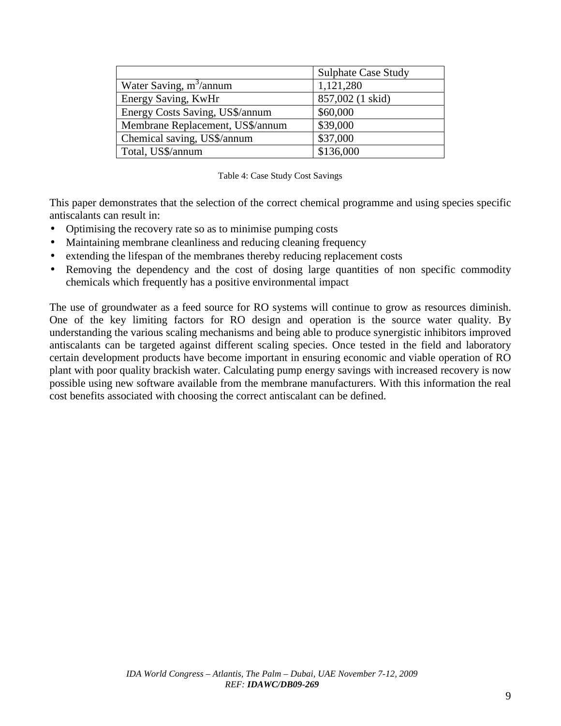|                                  | <b>Sulphate Case Study</b> |
|----------------------------------|----------------------------|
| Water Saving, $m^3$ /annum       | 1,121,280                  |
| Energy Saving, KwHr              | 857,002 (1 skid)           |
| Energy Costs Saving, US\$/annum  | \$60,000                   |
| Membrane Replacement, US\$/annum | \$39,000                   |
| Chemical saving, US\$/annum      | \$37,000                   |
| Total, US\$/annum                | \$136,000                  |

|  |  | Table 4: Case Study Cost Savings |
|--|--|----------------------------------|
|  |  |                                  |

This paper demonstrates that the selection of the correct chemical programme and using species specific antiscalants can result in:

- Optimising the recovery rate so as to minimise pumping costs
- Maintaining membrane cleanliness and reducing cleaning frequency
- extending the lifespan of the membranes thereby reducing replacement costs
- Removing the dependency and the cost of dosing large quantities of non specific commodity chemicals which frequently has a positive environmental impact

The use of groundwater as a feed source for RO systems will continue to grow as resources diminish. One of the key limiting factors for RO design and operation is the source water quality. By understanding the various scaling mechanisms and being able to produce synergistic inhibitors improved antiscalants can be targeted against different scaling species. Once tested in the field and laboratory certain development products have become important in ensuring economic and viable operation of RO plant with poor quality brackish water. Calculating pump energy savings with increased recovery is now possible using new software available from the membrane manufacturers. With this information the real cost benefits associated with choosing the correct antiscalant can be defined.